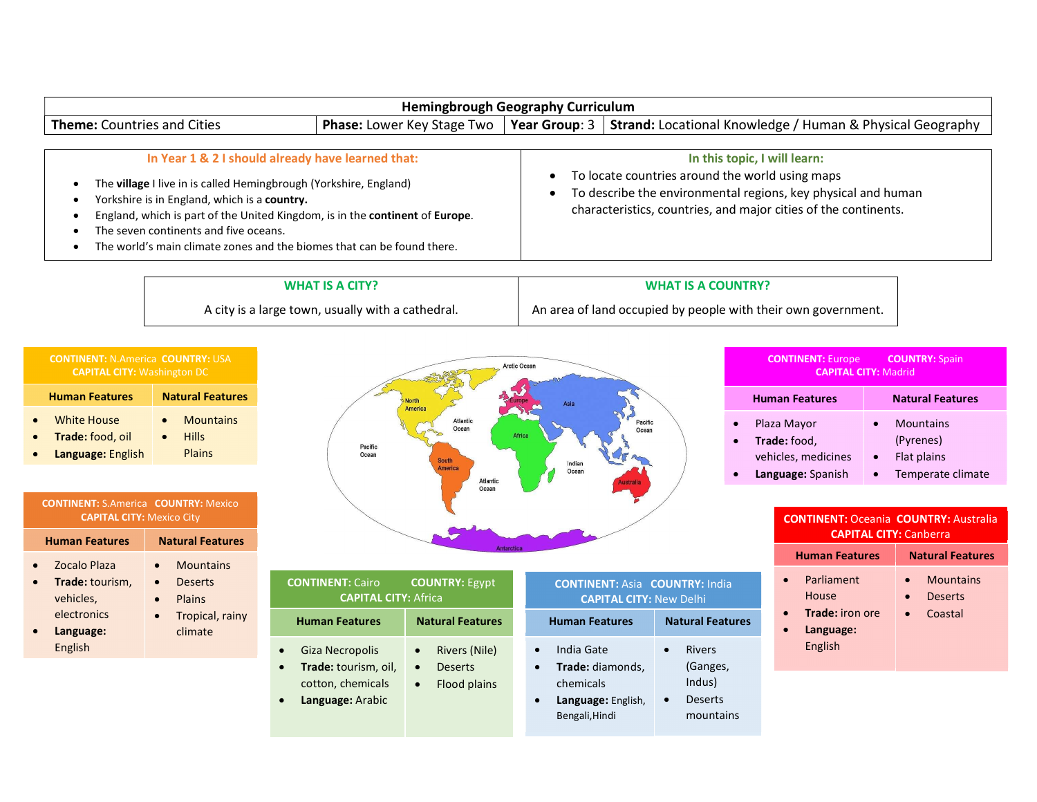|                                                                                                                                                                                                                                                                                                                                                                           | <b>Hemingbrough Geography Curriculum</b> |                                                                                                                                                                                                                     |
|---------------------------------------------------------------------------------------------------------------------------------------------------------------------------------------------------------------------------------------------------------------------------------------------------------------------------------------------------------------------------|------------------------------------------|---------------------------------------------------------------------------------------------------------------------------------------------------------------------------------------------------------------------|
| <b>Theme:</b> Countries and Cities                                                                                                                                                                                                                                                                                                                                        |                                          | <b>Phase:</b> Lower Key Stage Two   Year Group: $3$   Strand: Locational Knowledge / Human & Physical Geography                                                                                                     |
| In Year 1 & 2 I should already have learned that:<br>The village I live in is called Hemingbrough (Yorkshire, England)<br>Yorkshire is in England, which is a country.<br>England, which is part of the United Kingdom, is in the continent of Europe.<br>The seven continents and five oceans.<br>The world's main climate zones and the biomes that can be found there. |                                          | In this topic, I will learn:<br>To locate countries around the world using maps<br>To describe the environmental regions, key physical and human<br>characteristics, countries, and major cities of the continents. |

Arctic Ocean

WHAT IS A CITY?

### WHAT IS A COUNTRY?

An area of land occupied by people with their own government.

A city is a large town, usually with a cathedral.

| <b>COUNTRY: Spain</b><br><b>CONTINENT: Europe</b><br><b>CAPITAL CITY: Madrid</b>                               |                                                                                |
|----------------------------------------------------------------------------------------------------------------|--------------------------------------------------------------------------------|
| <b>Human Features</b>                                                                                          | <b>Natural Features</b>                                                        |
| Plaza Mayor<br>$\bullet$<br>Trade: food,<br>$\bullet$<br>vehicles, medicines<br>Language: Spanish<br>$\bullet$ | <b>Mountains</b><br>(Pyrenes)<br>Flat plains<br>$\bullet$<br>Temperate climate |

#### CONTINENT: Oceania COUNTRY: Australia CAPITAL CITY: Canberra

|           | <b>Human Features</b>                                          | <b>Natural Features</b>                                                              |
|-----------|----------------------------------------------------------------|--------------------------------------------------------------------------------------|
| $\bullet$ | Parliament<br>House<br>Trade: iron ore<br>Language:<br>English | <b>Mountains</b><br>$\bullet$<br><b>Deserts</b><br>$\bullet$<br>Coastal<br>$\bullet$ |

# **• Deserts CONTINENT:** Cairo COUNTRY: Egypt Giz **• Language: English Plains Property Contains Contains** • Mountains /  $\bullet$  Hills  $\qquad \qquad \qquad$ **Plains Contract Contract Contract Contract Contract Contract Contract Contract Contract Contract Contract Contract Contract Contract Contract Contract Contract Contract Contract Contract Contract Contract Contract Contr** Human Features **Natural Features Mountains Constanting Constanting Constanting Constanting Constanting Constanting Constanting Constanting Constanting Constanting Constanting Constanting Constanting Constanting Constanting Constanting Constanting Const •** Plains **CA** • Tropical, rainy **Calculation** Human For climate

| Pacific<br>Ocean                                                                                                        | Atlantic<br>Ocean<br><b>South</b><br><b>America</b><br><b>Atlantic</b><br>Ocean        | Pacific<br>Ocean<br>Africa<br>Indian<br>Ocean<br><b>Australia</b>                   |                                                                                 | Plaza Mayor<br>Trade: food,<br>vehicles, medicines<br>Language: Spanish |
|-------------------------------------------------------------------------------------------------------------------------|----------------------------------------------------------------------------------------|-------------------------------------------------------------------------------------|---------------------------------------------------------------------------------|-------------------------------------------------------------------------|
|                                                                                                                         | <b>Antarctica</b>                                                                      |                                                                                     |                                                                                 | <b>CONTINENT: O</b><br><b>CAPIT</b><br><b>Human Featu</b>               |
| <b>CONTINENT: Cairo</b><br><b>CAPITAL CITY: Africa</b>                                                                  | <b>COUNTRY: Egypt</b>                                                                  | <b>CONTINENT: Asia COUNTRY: India</b><br><b>CAPITAL CITY: New Delhi</b>             |                                                                                 | Parliament<br>House                                                     |
| <b>Human Features</b>                                                                                                   | <b>Natural Features</b>                                                                | <b>Human Features</b>                                                               | <b>Natural Features</b>                                                         | <b>Trade: iron</b><br>Language:                                         |
| Giza Necropolis<br>$\bullet$<br>Trade: tourism, oil,<br>$\bullet$<br>cotton, chemicals<br>Language: Arabic<br>$\bullet$ | Rivers (Nile)<br>$\bullet$<br><b>Deserts</b><br>$\bullet$<br>Flood plains<br>$\bullet$ | India Gate<br>Trade: diamonds,<br>chemicals<br>Language: English,<br>Bengali, Hindi | <b>Rivers</b><br>(Ganges,<br>Indus)<br><b>Deserts</b><br>$\bullet$<br>mountains | English                                                                 |

| <b>Human Features</b>                | <b>Natural Features</b> |
|--------------------------------------|-------------------------|
| White House<br>$\bullet$             | <b>Mountains</b>        |
| <b>Trade:</b> food, oil<br>$\bullet$ | <b>Hills</b>            |
| Language: English<br>$\bullet$       | <b>Plains</b>           |

## CONTINENT: S.America COUNTRY: Mexico CAPITAL CITY: Mexico City

|           | <b>Human Features</b> | <b>Natural Features</b> |
|-----------|-----------------------|-------------------------|
| $\bullet$ | <b>Zocalo Plaza</b>   | <b>Mountains</b>        |
| $\bullet$ | Trade: tourism,       | <b>Deserts</b>          |
|           | vehicles,             | Plains                  |
|           | electronics           | Tropical, rainy         |
|           |                       | $\mathbf{r}$            |

 Language: English